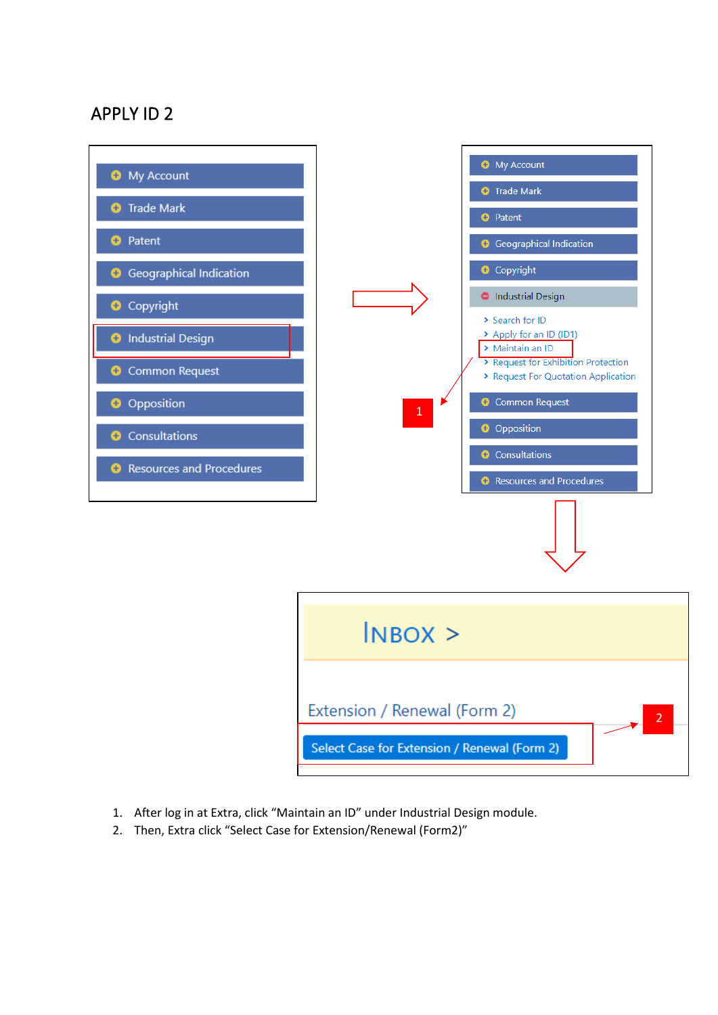## APPLY ID 2



- 1. After log in at Extra, click "Maintain an ID" under Industrial Design module.
- 2. Then, Extra click "Select Case for Extension/Renewal (Form2)"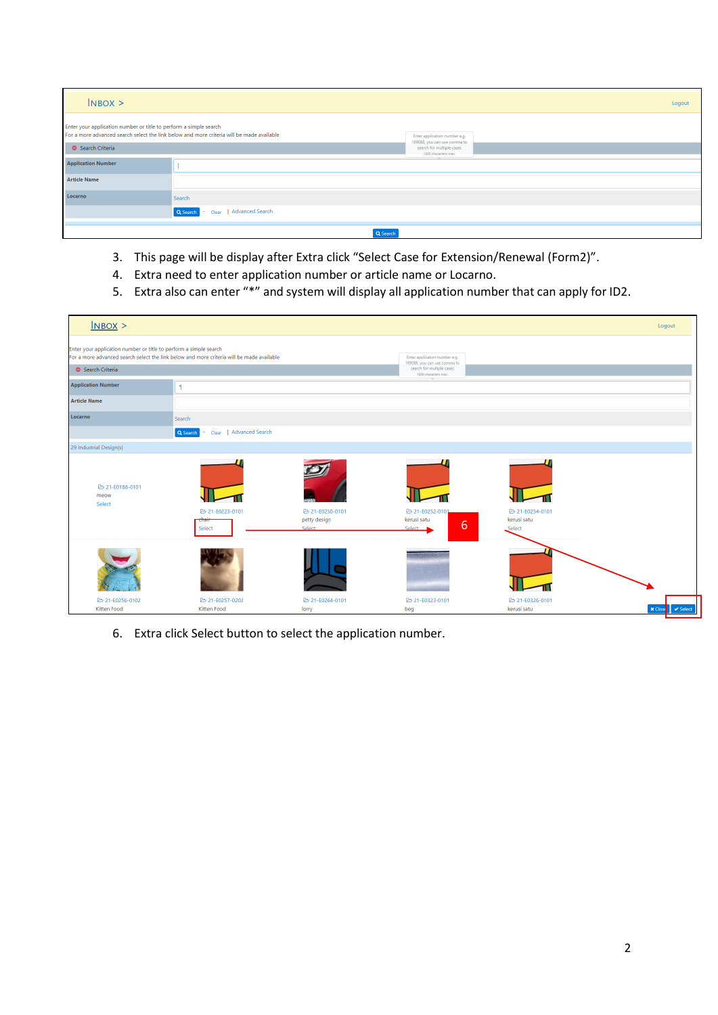| $N$ BOX $>$                                                       |                                                                                           |                                                                                   | Logout |
|-------------------------------------------------------------------|-------------------------------------------------------------------------------------------|-----------------------------------------------------------------------------------|--------|
| Enter your application number or title to perform a simple search | For a more advanced search select the link below and more criteria will be made available | Enter application number e.g.                                                     |        |
| Search Criteria                                                   |                                                                                           | 169088, you can use comma to<br>search for multiple cases<br>1500 characters max. |        |
| <b>Application Number</b>                                         |                                                                                           |                                                                                   |        |
| <b>Article Name</b>                                               |                                                                                           |                                                                                   |        |
| Locarno                                                           | Search                                                                                    |                                                                                   |        |
|                                                                   | Advanced Search<br>Q Search<br>Clear                                                      |                                                                                   |        |
|                                                                   | Q Search                                                                                  |                                                                                   |        |

- 3. This page will be display after Extra click "Select Case for Extension/Renewal (Form2)".
- 4. Extra need to enter application number or article name or Locarno.
- 5. Extra also can enter "\*" and system will display all application number that can apply for ID2.

| N                                                                                                                                                                                 |                                      |                               |                                                                                            |                              | Logout                                         |
|-----------------------------------------------------------------------------------------------------------------------------------------------------------------------------------|--------------------------------------|-------------------------------|--------------------------------------------------------------------------------------------|------------------------------|------------------------------------------------|
| Enter your application number or title to perform a simple search<br>For a more advanced search select the link below and more criteria will be made available<br>Search Criteria |                                      |                               | Enter application number e.g.<br>169088, you can use comma to<br>search for multiple cases |                              |                                                |
|                                                                                                                                                                                   |                                      |                               | 1500 characters max.                                                                       |                              |                                                |
| <b>Application Number</b>                                                                                                                                                         | $\mathbf{z}$                         |                               |                                                                                            |                              |                                                |
| <b>Article Name</b>                                                                                                                                                               |                                      |                               |                                                                                            |                              |                                                |
| Locarno                                                                                                                                                                           | Search                               |                               |                                                                                            |                              |                                                |
|                                                                                                                                                                                   | Advanced Search<br>Q Search<br>Clear |                               |                                                                                            |                              |                                                |
| 29 Industrial Design(s)                                                                                                                                                           |                                      |                               |                                                                                            |                              |                                                |
| 21-E0188-0101<br>meow<br>Select                                                                                                                                                   | 21-E0223-0101                        | 21-E0250-0101<br>petty design | <b>B</b> 21-E0252-0101<br>kerusi satu                                                      | 21-E0254-0101<br>kerusi satu |                                                |
|                                                                                                                                                                                   | Select                               | Select                        | 6<br>Select                                                                                | Select                       |                                                |
|                                                                                                                                                                                   |                                      |                               |                                                                                            |                              |                                                |
| 21-E0256-0102<br>Kitten Food                                                                                                                                                      | 21-E0257-0202<br>Kitten Food         | 21-E0264-0101<br>lorry        | 21-E0323-0101<br>beg                                                                       | 21-E0326-0101<br>kerusi satu | $\blacktriangleright$ Select<br><b>x</b> Close |

6. Extra click Select button to select the application number.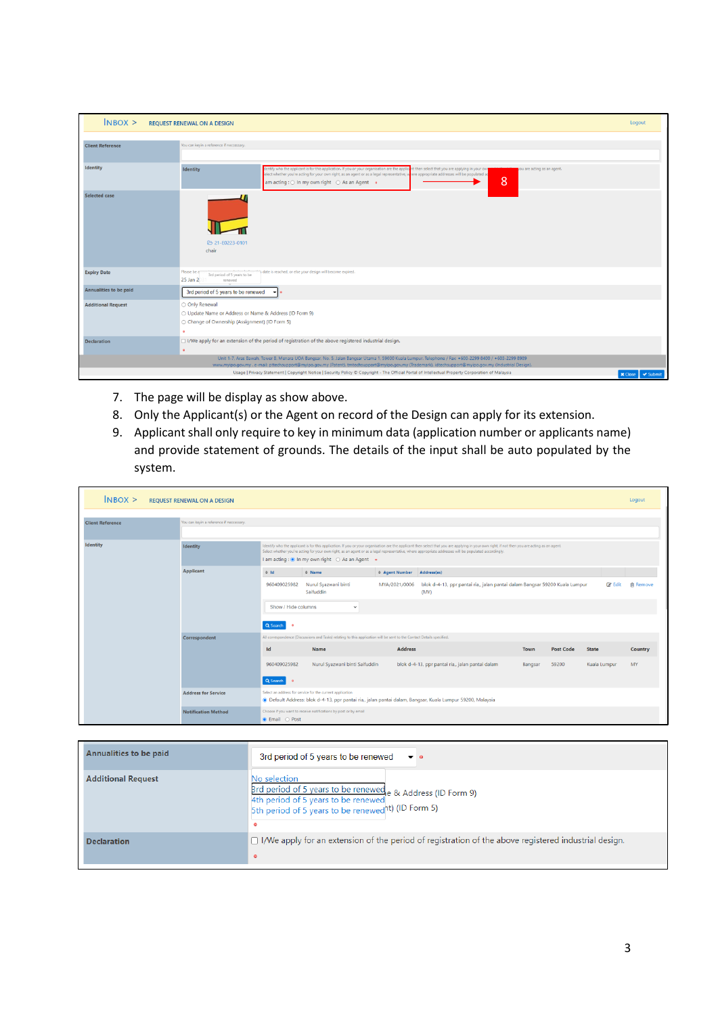| $N$ BOX $>$               | <b>REQUEST RENEWAL ON A DESIGN</b>                                                                                                                                                                                                                                                                                                                                                                     | Logout                          |
|---------------------------|--------------------------------------------------------------------------------------------------------------------------------------------------------------------------------------------------------------------------------------------------------------------------------------------------------------------------------------------------------------------------------------------------------|---------------------------------|
| <b>Client Reference</b>   | You can keyin a reference if neccessary.                                                                                                                                                                                                                                                                                                                                                               |                                 |
| Identity                  | Sentify who the applicant is for this application. If you or your organisation are the applici<br>t then select that you are applying in your own<br>ou are acting as an agent.<br><b>Identity</b><br>elect whether you're acting for your own right, as an agent or as a legal representative, where appropriate addresses will be populated ac<br>8<br>am acting : ○ In my own right ○ As an Agent • |                                 |
| <b>Selected case</b>      | <b>21-E0223-0101</b><br>chair                                                                                                                                                                                                                                                                                                                                                                          |                                 |
| <b>Expiry Date</b>        | is date is reached, or else your design will become expired.<br>Please be a<br>3rd period of 5 years to be<br>25 Jan 2<br>renewed                                                                                                                                                                                                                                                                      |                                 |
| Annualities to be paid    | 3rd period of 5 years to be renewed<br>$\mathbf{v}$ o                                                                                                                                                                                                                                                                                                                                                  |                                 |
| <b>Additional Request</b> | O Only Renewal<br>○ Update Name or Address or Name & Address (ID Form 9)<br>○ Change of Ownership (Assignment) (ID Form 5)                                                                                                                                                                                                                                                                             |                                 |
| <b>Declaration</b>        | □ I/We apply for an extension of the period of registration of the above registered industrial design.<br>$\bullet$                                                                                                                                                                                                                                                                                    |                                 |
|                           | Unit 1-7, Aras Bawah, Tower B, Menara UOA Bangsar, No. 5, Jalan Bangsar Utama 1, 59000 Kuala Lumpur. Telephone / Fax: +603-2299 8400 / +603-2299 889<br>www.myipo.gov.my . e-mail: pttechsupport@myipo.gov.my (Patent). tmtechsupport@myipo.gov.my (Trademark), idtechsupport@myipo.gov.my (Industrial Design).                                                                                        |                                 |
|                           | Usage   Privacy Statement   Copyright Notice   Security Policy C Copyright - The Official Portal of Intellectual Property Corporation of Malaysia                                                                                                                                                                                                                                                      | $\vee$ Submit<br><b>x</b> Close |

- 7. The page will be display as show above.
- 8. Only the Applicant(s) or the Agent on record of the Design can apply for its extension.
- 9. Applicant shall only require to key in minimum data (application number or applicants name) and provide statement of grounds. The details of the input shall be auto populated by the system.

| $N$ BOX $>$             | <b>REQUEST RENEWAL ON A DESIGN</b>       |                                                                                                                                                                                                                                                                                                                                                                                                            |                                                                                                                        |                |                                                                                                            |         |                  |               | Logout          |
|-------------------------|------------------------------------------|------------------------------------------------------------------------------------------------------------------------------------------------------------------------------------------------------------------------------------------------------------------------------------------------------------------------------------------------------------------------------------------------------------|------------------------------------------------------------------------------------------------------------------------|----------------|------------------------------------------------------------------------------------------------------------|---------|------------------|---------------|-----------------|
| <b>Client Reference</b> | You can keyin a reference if neccessary. |                                                                                                                                                                                                                                                                                                                                                                                                            |                                                                                                                        |                |                                                                                                            |         |                  |               |                 |
| <b>Identity</b>         | <b>Identity</b>                          | Identify who the applicant is for this application. If you or your organisation are the applicant then select that you are applying in your own right, if not then you are acting as an agent.<br>Select whether you're acting for your own right, as an agent or as a legal representative, where appropriate addresses will be populated accordingly.<br>I am acting : ● In my own right ○ As an Agent ● |                                                                                                                        |                |                                                                                                            |         |                  |               |                 |
|                         | <b>Applicant</b>                         | $\Leftrightarrow$ 1d                                                                                                                                                                                                                                                                                                                                                                                       | $\Leftrightarrow$ Name                                                                                                 | # Agent Number | Address(es)                                                                                                |         |                  |               |                 |
|                         |                                          | 960409025982                                                                                                                                                                                                                                                                                                                                                                                               | Nurul Syazwani binti<br>Saifuddin                                                                                      | MYA/2021/0006  | blok d-4-13, ppr pantai ria,, jalan pantai dalam Bangsar 59200 Kuala Lumpur<br>(MY)                        |         |                  | <b>■</b> Edit | <b>俞 Remove</b> |
|                         |                                          | Show / Hide columns                                                                                                                                                                                                                                                                                                                                                                                        | $\checkmark$                                                                                                           |                |                                                                                                            |         |                  |               |                 |
|                         |                                          | Q Search<br>$\bullet$                                                                                                                                                                                                                                                                                                                                                                                      |                                                                                                                        |                |                                                                                                            |         |                  |               |                 |
|                         | Correspondent                            |                                                                                                                                                                                                                                                                                                                                                                                                            | All correspondence (Discussions and Tasks) relating to this application will be sent to the Contact Details specified. |                |                                                                                                            |         |                  |               |                 |
|                         |                                          | Id                                                                                                                                                                                                                                                                                                                                                                                                         | Name                                                                                                                   | <b>Address</b> |                                                                                                            | Town    | <b>Post Code</b> | <b>State</b>  | <b>Country</b>  |
|                         |                                          | 960409025982                                                                                                                                                                                                                                                                                                                                                                                               | Nurul Syazwani binti Saifuddin                                                                                         |                | blok d-4-13, ppr pantai ria,, jalan pantai dalam                                                           | Bangsar | 59200            | Kuala Lumpur  | MY              |
|                         |                                          | Q Search<br>$\bullet$                                                                                                                                                                                                                                                                                                                                                                                      |                                                                                                                        |                |                                                                                                            |         |                  |               |                 |
|                         | <b>Address for Service</b>               |                                                                                                                                                                                                                                                                                                                                                                                                            | Select an address for service for the current application                                                              |                | · Default Address: blok d-4-13, ppr pantai ria,, jalan pantai dalam, Bangsar, Kuala Lumpur 59200, Malaysia |         |                  |               |                 |
|                         | <b>Notification Method</b>               | $\bullet$ Email $\circ$ Post                                                                                                                                                                                                                                                                                                                                                                               | Choose if you want to receive notifications by post or by email                                                        |                |                                                                                                            |         |                  |               |                 |

| Annualities to be paid    | 3rd period of 5 years to be renewed $\bullet$ $\bullet$                                                                                                                                             |
|---------------------------|-----------------------------------------------------------------------------------------------------------------------------------------------------------------------------------------------------|
| <b>Additional Request</b> | No selection<br>$\frac{1}{4}$ and period of 5 years to be renewed e & Address (ID Form 9)<br>4th period of 5 years to be renewed<br>5th period of 5 years to be renewed t) (ID Form 5)<br>$\bullet$ |
| <b>Declaration</b>        | $\Box$ I/We apply for an extension of the period of registration of the above registered industrial design.<br>$\bullet$                                                                            |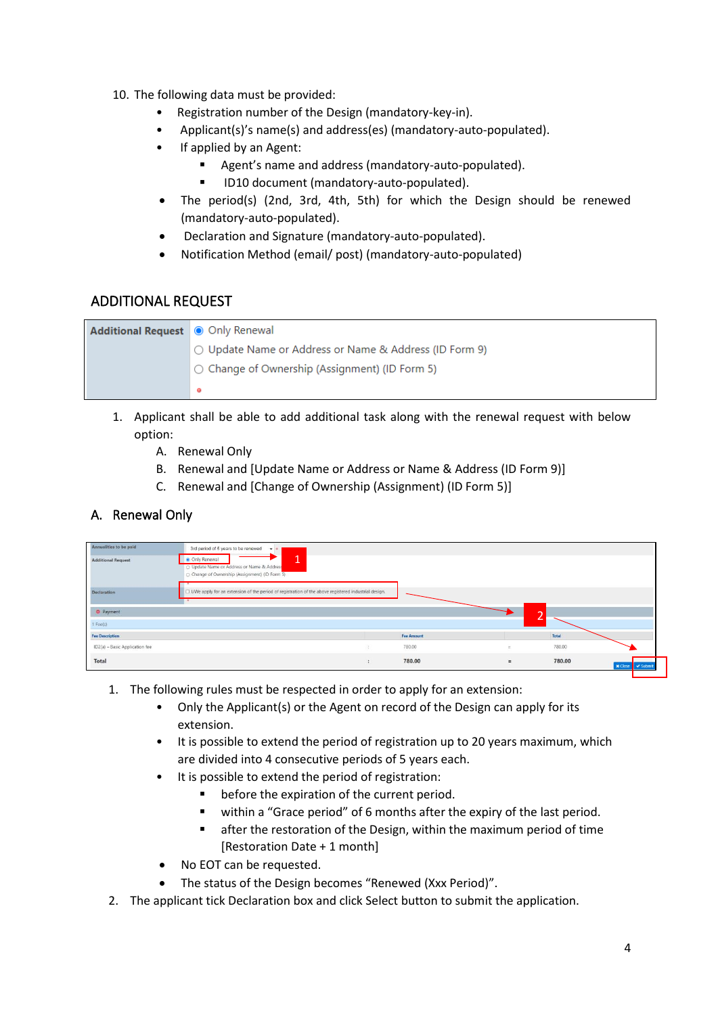- 10. The following data must be provided:
	- Registration number of the Design (mandatory-key-in).
	- Applicant(s)'s name(s) and address(es) (mandatory-auto-populated).
	- If applied by an Agent:
		- Agent's name and address (mandatory-auto-populated).
			- ID10 document (mandatory-auto-populated).
	- The period(s) (2nd, 3rd, 4th, 5th) for which the Design should be renewed (mandatory-auto-populated).
	- Declaration and Signature (mandatory-auto-populated).
	- Notification Method (email/ post) (mandatory-auto-populated)

## ADDITIONAL REQUEST

| Additional Request © Only Renewal |                                                        |
|-----------------------------------|--------------------------------------------------------|
|                                   | ○ Update Name or Address or Name & Address (ID Form 9) |
|                                   | $\circ$ Change of Ownership (Assignment) (ID Form 5)   |
|                                   |                                                        |

- 1. Applicant shall be able to add additional task along with the renewal request with below option:
	- A. Renewal Only
	- B. Renewal and [Update Name or Address or Name & Address (ID Form 9)]
	- C. Renewal and [Change of Ownership (Assignment) (ID Form 5)]

## A. Renewal Only

| Annualities to be paid         | 3rd period of 5 years to be renewed<br>$-1$                                                                                           |                      |                   |          |        |                                |
|--------------------------------|---------------------------------------------------------------------------------------------------------------------------------------|----------------------|-------------------|----------|--------|--------------------------------|
| <b>Additional Request</b>      | $\overline{ }$<br>· Only Renewal<br>л.<br>O Update Name or Address or Name & Addres<br>C Change of Ownership (Assignment) (ID Form 5) |                      |                   |          |        |                                |
| Declaration                    | □ I/We apply for an extension of the period of registration of the above registered industrial design.<br>$-$                         |                      |                   |          |        |                                |
| Payment                        |                                                                                                                                       |                      |                   |          |        |                                |
| $1$ Fee $(s)$                  |                                                                                                                                       |                      |                   |          |        |                                |
| <b>Fee Description</b>         |                                                                                                                                       |                      | <b>Fee Amount</b> |          | Total  |                                |
| ID2(a) - Basic Application fee |                                                                                                                                       | 3                    | 780.00            | $\sim$   | 780.00 |                                |
| Total                          |                                                                                                                                       | $\ddot{\phantom{a}}$ | 780.00            | $\equiv$ | 780.00 | <b>x</b> Close<br>$\sim$ Submi |

- 1. The following rules must be respected in order to apply for an extension:
	- Only the Applicant(s) or the Agent on record of the Design can apply for its extension.
	- It is possible to extend the period of registration up to 20 years maximum, which are divided into 4 consecutive periods of 5 years each.
	- It is possible to extend the period of registration:
		- before the expiration of the current period.
		- within a "Grace period" of 6 months after the expiry of the last period.
		- after the restoration of the Design, within the maximum period of time [Restoration Date + 1 month]
	- No EOT can be requested.
	- The status of the Design becomes "Renewed (Xxx Period)".
- 2. The applicant tick Declaration box and click Select button to submit the application.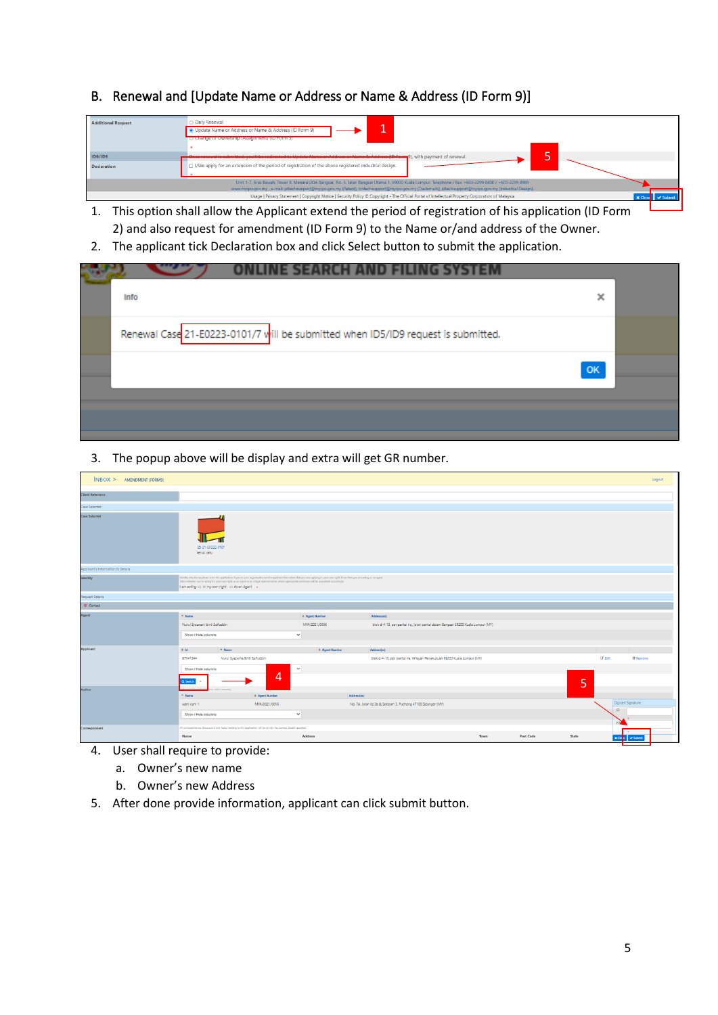## B. Renewal and [Update Name or Address or Name & Address (ID Form 9)]



- 1. This option shall allow the Applicant extend the period of registration of his application (ID Form 2) and also request for amendment (ID Form 9) to the Name or/and address of the Owner.
- 2. The applicant tick Declaration box and click Select button to submit the application.

| Info                                                                              | ×  |  |
|-----------------------------------------------------------------------------------|----|--|
| Renewal Case 21-E0223-0101/7 will be submitted when ID5/ID9 request is submitted. |    |  |
|                                                                                   | OK |  |
|                                                                                   |    |  |
|                                                                                   |    |  |

3. The popup above will be display and extra will get GR number.

| INBOX > AMENDMENT (FORM9)         |                                                                                                                                                                                                                                                                                                                                                                                                            |                       |                       |                                                                                 |      |                  |              |                    | Logout          |
|-----------------------------------|------------------------------------------------------------------------------------------------------------------------------------------------------------------------------------------------------------------------------------------------------------------------------------------------------------------------------------------------------------------------------------------------------------|-----------------------|-----------------------|---------------------------------------------------------------------------------|------|------------------|--------------|--------------------|-----------------|
| <b>Client Reference</b>           |                                                                                                                                                                                                                                                                                                                                                                                                            |                       |                       |                                                                                 |      |                  |              |                    |                 |
| Case Selected                     |                                                                                                                                                                                                                                                                                                                                                                                                            |                       |                       |                                                                                 |      |                  |              |                    |                 |
| <b>Case Selected</b>              | 21-80332-0101<br>kerusi satu                                                                                                                                                                                                                                                                                                                                                                               |                       |                       |                                                                                 |      |                  |              |                    |                 |
| Applicant's Information & Details |                                                                                                                                                                                                                                                                                                                                                                                                            |                       |                       |                                                                                 |      |                  |              |                    |                 |
| Identity                          | identify who the applicant is for this application. If you or your organisation are the applicant then select that you are applying in your own right, if not then you are acting as an agent.<br>Select whether you're acting for your own right, as an agent or as a legal representative, where appropriate addresses will be populated accordingly.<br>I am acting : O in my own right O As an Agent . |                       |                       |                                                                                 |      |                  |              |                    |                 |
| Request Details                   |                                                                                                                                                                                                                                                                                                                                                                                                            |                       |                       |                                                                                 |      |                  |              |                    |                 |
| O Contact                         |                                                                                                                                                                                                                                                                                                                                                                                                            |                       |                       |                                                                                 |      |                  |              |                    |                 |
| Agent                             | - Name                                                                                                                                                                                                                                                                                                                                                                                                     |                       | # Agent Number        | Addressles                                                                      |      |                  |              |                    |                 |
|                                   | Nurul Syazwani binti Salfuddin                                                                                                                                                                                                                                                                                                                                                                             |                       | MYA/2021/0006         | blok d-4-13, ppr pantal ria, jalan pantal dalam Bangsar 59200 Kuala Lumpur (MY) |      |                  |              |                    |                 |
|                                   | Show / Hide columns                                                                                                                                                                                                                                                                                                                                                                                        | $\checkmark$          |                       |                                                                                 |      |                  |              |                    |                 |
| <b>Applicant</b>                  | $0$ Id<br>- Name                                                                                                                                                                                                                                                                                                                                                                                           |                       | <b>0 Agent Number</b> | Address(es)                                                                     |      |                  |              |                    |                 |
|                                   | Nurul Syazwina Binti Saifuddin<br>67341344                                                                                                                                                                                                                                                                                                                                                                 |                       |                       | blok d-4-13, ppr pantai ria, Wilayah Persekutuan 59200 Kuala Lumpur (MY)        |      |                  | $G$ Edit     |                    | <b>自 Remove</b> |
|                                   | Show / Hide columns                                                                                                                                                                                                                                                                                                                                                                                        | $\checkmark$          |                       |                                                                                 |      |                  |              |                    |                 |
|                                   | Q Search                                                                                                                                                                                                                                                                                                                                                                                                   | $\overline{4}$        |                       |                                                                                 |      |                  | 5            |                    |                 |
| Author                            | not a company.<br>$-$ Name                                                                                                                                                                                                                                                                                                                                                                                 | <b>C</b> Agent Number | Address(es)           |                                                                                 |      |                  |              |                    |                 |
|                                   | wani com 1                                                                                                                                                                                                                                                                                                                                                                                                 | MYA/2021/0016         |                       | No. 7A, Jalan Ks 3a & Seksyen 3, Puchong 47100 Selangor (MY)                    |      |                  |              | Digicert Signature |                 |
|                                   | Show / Hide columns                                                                                                                                                                                                                                                                                                                                                                                        | $\checkmark$          |                       |                                                                                 |      |                  |              | ID                 |                 |
| Correspondent                     | AT correspondence (Discussions and Tasks) relating to this application will be sent to the Contact Details specified.                                                                                                                                                                                                                                                                                      |                       |                       |                                                                                 |      |                  |              |                    |                 |
|                                   | Name                                                                                                                                                                                                                                                                                                                                                                                                       | <b>Address</b>        |                       |                                                                                 | Town | <b>Post Code</b> | <b>State</b> | $x$ Clo $\ $       | v Submit        |

- 4. User shall require to provide:
	- a. Owner's new name
	- b. Owner's new Address
- 5. After done provide information, applicant can click submit button.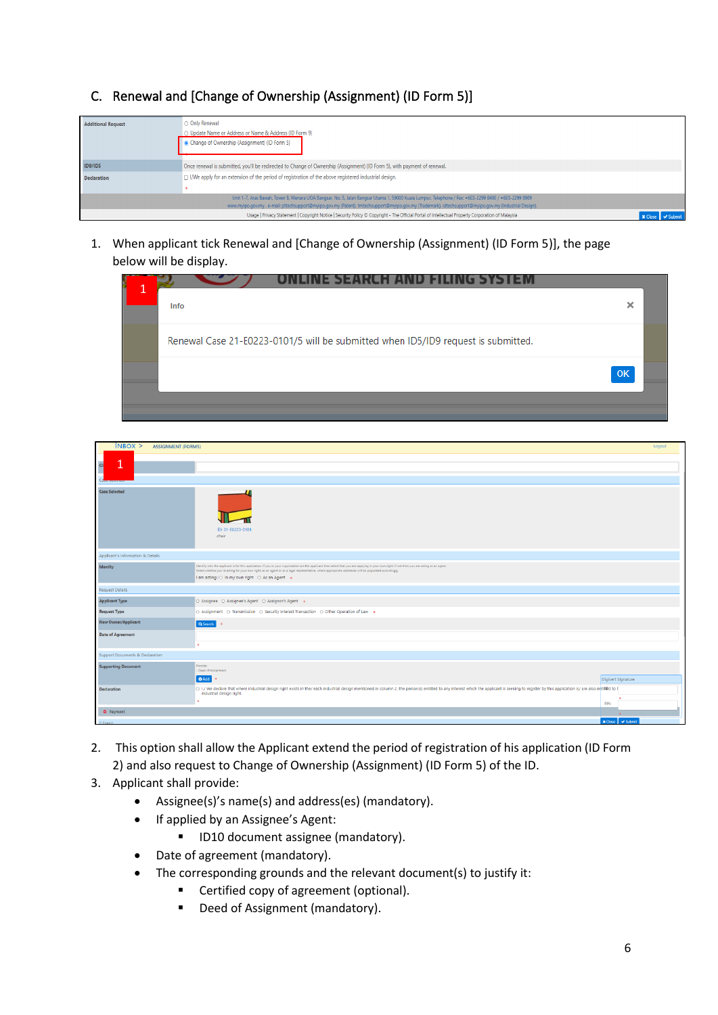C. Renewal and [Change of Ownership (Assignment) (ID Form 5)]

| <b>Additional Request</b> | O Only Renewal                                                                                                                                          |  |
|---------------------------|---------------------------------------------------------------------------------------------------------------------------------------------------------|--|
|                           | ○ Update Name or Address or Name & Address (ID Form 9)                                                                                                  |  |
|                           | Change of Ownership (Assignment) (ID Form 5)                                                                                                            |  |
| <b>ID9/ID5</b>            | Once renewal is submitted, you'll be redirected to Change of Ownership (Assignment) (ID Form 5), with payment of renewal.                               |  |
| <b>Declaration</b>        | □ I/We apply for an extension of the period of registration of the above registered industrial design.                                                  |  |
|                           |                                                                                                                                                         |  |
|                           | Unit 1-7, Aras Bawah, Tower B, Menara UOA Bangsar, No. 5, Jalan Bangsar Utama 1, 59000 Kuala Lumpur. Telephone / Fax: +603-2299 8400 / +603-2299 8989   |  |
|                           | www.myipo.qov.my . e-mail: pttechsupport@myipo.qov.my (Patent), tmtechsupport@myipo.qov.my (Trademark), idtechsupport@myipo.qov.my (Industrial Design). |  |
|                           | Usage   Privacy Statement   Copyright Notice   Security Policy C Copyright - The Official Portal of Intellectual Property Corporation of Malaysia       |  |

1. When applicant tick Renewal and [Change of Ownership (Assignment) (ID Form 5)], the page below will be display.

| CH AND FILING SYSTEM                                                              |    |
|-----------------------------------------------------------------------------------|----|
| Í<br><b>Info</b>                                                                  | ×  |
| Renewal Case 21-E0223-0101/5 will be submitted when ID5/ID9 request is submitted. |    |
|                                                                                   | OK |
|                                                                                   |    |

| $N$ BOX $>$<br><b>ASSIGNMENT (FORM5)</b>   |                                                                                                                                                                                                                                                                                                                                                                                                            |                    | Logout |
|--------------------------------------------|------------------------------------------------------------------------------------------------------------------------------------------------------------------------------------------------------------------------------------------------------------------------------------------------------------------------------------------------------------------------------------------------------------|--------------------|--------|
| и<br>$\overline{a}$                        |                                                                                                                                                                                                                                                                                                                                                                                                            |                    |        |
| <b>Case Selected</b>                       | 29 21-E0223-0101<br>chair                                                                                                                                                                                                                                                                                                                                                                                  |                    |        |
| Applicant's Information & Details          |                                                                                                                                                                                                                                                                                                                                                                                                            |                    |        |
| Identity                                   | Identify who the applicant is for this application. If you or your organisation are the applicant then select that you are applying in your own right. if not then you are acting as an agent.<br>Select whether you're acting for your own right, as an agent or as a legal representative, where appropriate addresses will be populated accordingly.<br>I am acting : O In my own right O As an Agent . |                    |        |
| <b>Request Details</b>                     |                                                                                                                                                                                                                                                                                                                                                                                                            |                    |        |
| <b>Applicant Type</b>                      | ○ Assignee ○ Assignee's Agent ○ Assignor's Agent ●                                                                                                                                                                                                                                                                                                                                                         |                    |        |
| <b>Request Type</b>                        | O Assignment O Transmission O Security Interest Transaction O Other Operation of Law .                                                                                                                                                                                                                                                                                                                     |                    |        |
| <b>New Owner/Applicant</b>                 | Q Search                                                                                                                                                                                                                                                                                                                                                                                                   |                    |        |
| <b>Date of Agreement</b>                   | ٠                                                                                                                                                                                                                                                                                                                                                                                                          |                    |        |
| <b>Support Documents &amp; Declaration</b> |                                                                                                                                                                                                                                                                                                                                                                                                            |                    |        |
| <b>Supporting Document</b>                 | Provide:<br>- Deed of Assignment<br>O Add   0                                                                                                                                                                                                                                                                                                                                                              | Digicert Signature |        |
| <b>Declaration</b>                         | DI/We declare that where industrial design right exists in the/each industrial design mentioned in column 2, the person(s) entitled to any interest which the applicant is seeking to register by this application is/are also<br>industrial design right.                                                                                                                                                 | PIN                |        |
| Payment                                    |                                                                                                                                                                                                                                                                                                                                                                                                            |                    |        |
|                                            |                                                                                                                                                                                                                                                                                                                                                                                                            | المنطوبة           |        |

- 2. This option shall allow the Applicant extend the period of registration of his application (ID Form 2) and also request to Change of Ownership (Assignment) (ID Form 5) of the ID.
- 3. Applicant shall provide:
	- Assignee(s)'s name(s) and address(es) (mandatory).
	- If applied by an Assignee's Agent:
		- ID10 document assignee (mandatory).
	- Date of agreement (mandatory).
	- The corresponding grounds and the relevant document(s) to justify it:
		- Certified copy of agreement (optional).
		- Deed of Assignment (mandatory).